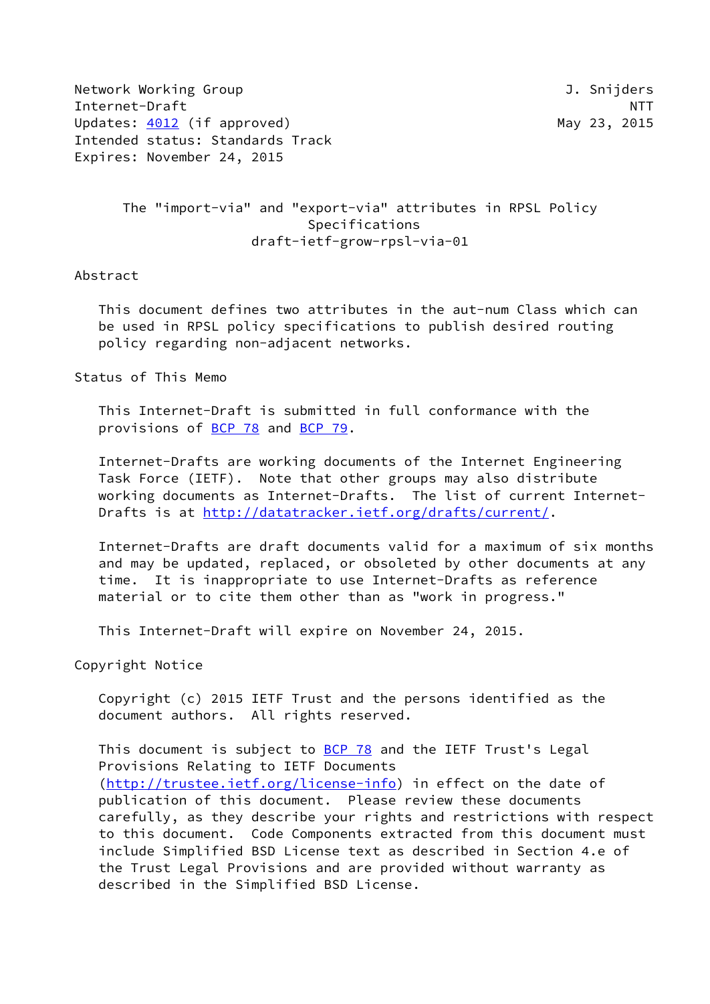Network Working Group J. Snijders Internet-Draft NTT Updates: [4012](https://datatracker.ietf.org/doc/pdf/rfc4012) (if approved) May 23, 2015 Intended status: Standards Track Expires: November 24, 2015

# The "import-via" and "export-via" attributes in RPSL Policy Specifications draft-ietf-grow-rpsl-via-01

Abstract

 This document defines two attributes in the aut-num Class which can be used in RPSL policy specifications to publish desired routing policy regarding non-adjacent networks.

Status of This Memo

 This Internet-Draft is submitted in full conformance with the provisions of [BCP 78](https://datatracker.ietf.org/doc/pdf/bcp78) and [BCP 79](https://datatracker.ietf.org/doc/pdf/bcp79).

 Internet-Drafts are working documents of the Internet Engineering Task Force (IETF). Note that other groups may also distribute working documents as Internet-Drafts. The list of current Internet- Drafts is at<http://datatracker.ietf.org/drafts/current/>.

 Internet-Drafts are draft documents valid for a maximum of six months and may be updated, replaced, or obsoleted by other documents at any time. It is inappropriate to use Internet-Drafts as reference material or to cite them other than as "work in progress."

This Internet-Draft will expire on November 24, 2015.

Copyright Notice

 Copyright (c) 2015 IETF Trust and the persons identified as the document authors. All rights reserved.

This document is subject to **[BCP 78](https://datatracker.ietf.org/doc/pdf/bcp78)** and the IETF Trust's Legal Provisions Relating to IETF Documents [\(http://trustee.ietf.org/license-info](http://trustee.ietf.org/license-info)) in effect on the date of publication of this document. Please review these documents carefully, as they describe your rights and restrictions with respect to this document. Code Components extracted from this document must include Simplified BSD License text as described in Section 4.e of the Trust Legal Provisions and are provided without warranty as described in the Simplified BSD License.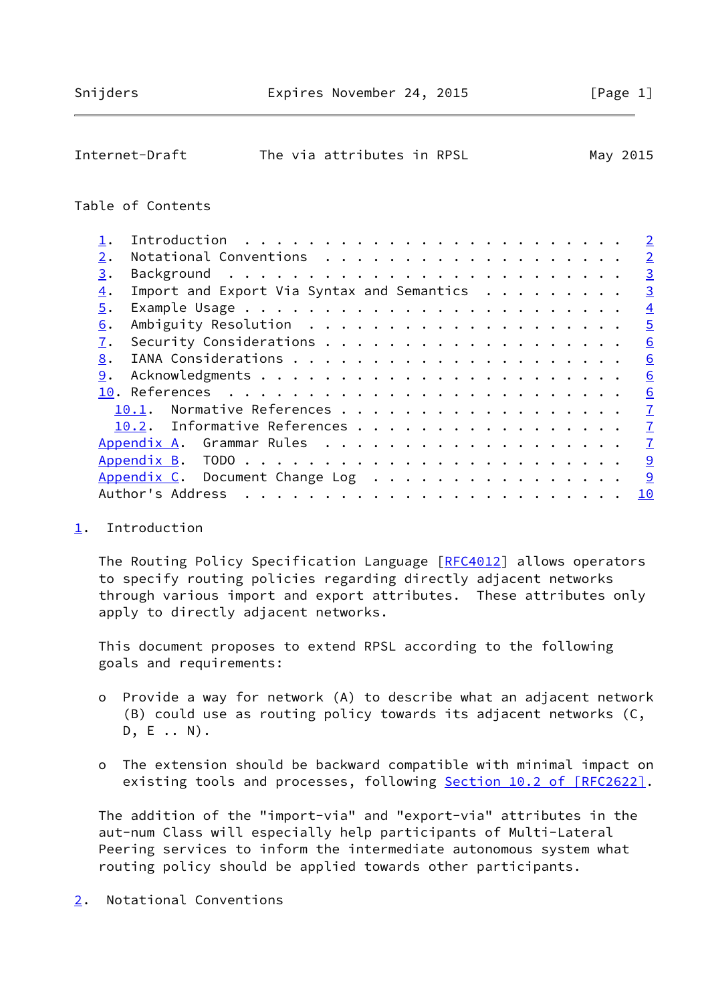<span id="page-1-1"></span>

| Internet-Draft |  | The via attributes in RPSL |  | May 2015 |  |
|----------------|--|----------------------------|--|----------|--|
|                |  |                            |  |          |  |

## Table of Contents

|                  |                                            | $\overline{2}$ |
|------------------|--------------------------------------------|----------------|
| 2.               |                                            | $\overline{2}$ |
| 3.               |                                            | $\overline{3}$ |
| $\overline{4}$ . | Import and Export Via Syntax and Semantics | $\overline{3}$ |
| 5.               |                                            | $\overline{4}$ |
| 6.               |                                            | $\overline{5}$ |
| 7.               |                                            | 6              |
| 8.               |                                            | 6              |
| 9.               |                                            | 6              |
|                  |                                            | 6              |
|                  | Normative References<br>10.1.              | $\overline{1}$ |
|                  | 10.2. Informative References               | $\mathbf{I}$   |
|                  |                                            | $\mathbf{I}$   |
|                  |                                            | 9              |
|                  | Appendix $C$ . Document Change Log         | 9              |
|                  | Author's Address<br>10                     |                |

# <span id="page-1-0"></span>[1](#page-1-0). Introduction

The Routing Policy Specification Language [[RFC4012](https://datatracker.ietf.org/doc/pdf/rfc4012)] allows operators to specify routing policies regarding directly adjacent networks through various import and export attributes. These attributes only apply to directly adjacent networks.

 This document proposes to extend RPSL according to the following goals and requirements:

- o Provide a way for network (A) to describe what an adjacent network (B) could use as routing policy towards its adjacent networks (C, D, E .. N).
- o The extension should be backward compatible with minimal impact on existing tools and processes, following **Section 10.2 of [RFC2622]**.

 The addition of the "import-via" and "export-via" attributes in the aut-num Class will especially help participants of Multi-Lateral Peering services to inform the intermediate autonomous system what routing policy should be applied towards other participants.

<span id="page-1-2"></span>[2](#page-1-2). Notational Conventions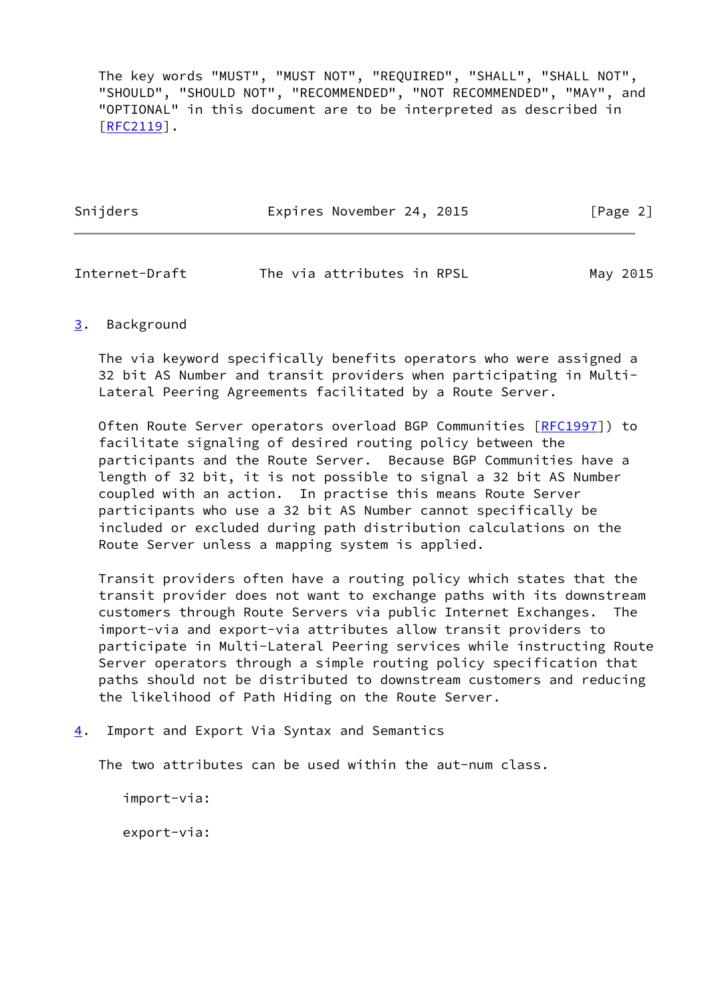The key words "MUST", "MUST NOT", "REQUIRED", "SHALL", "SHALL NOT", "SHOULD", "SHOULD NOT", "RECOMMENDED", "NOT RECOMMENDED", "MAY", and "OPTIONAL" in this document are to be interpreted as described in [\[RFC2119](https://datatracker.ietf.org/doc/pdf/rfc2119)].

| Snijders | Expires November 24, 2015 | [Page 2] |
|----------|---------------------------|----------|
|          |                           |          |

<span id="page-2-1"></span>

| Internet-Draft |  | The via attributes in RPSL |  |  |  | May 2015 |
|----------------|--|----------------------------|--|--|--|----------|
|----------------|--|----------------------------|--|--|--|----------|

## <span id="page-2-0"></span>[3](#page-2-0). Background

 The via keyword specifically benefits operators who were assigned a 32 bit AS Number and transit providers when participating in Multi- Lateral Peering Agreements facilitated by a Route Server.

 Often Route Server operators overload BGP Communities [[RFC1997](https://datatracker.ietf.org/doc/pdf/rfc1997)]) to facilitate signaling of desired routing policy between the participants and the Route Server. Because BGP Communities have a length of 32 bit, it is not possible to signal a 32 bit AS Number coupled with an action. In practise this means Route Server participants who use a 32 bit AS Number cannot specifically be included or excluded during path distribution calculations on the Route Server unless a mapping system is applied.

 Transit providers often have a routing policy which states that the transit provider does not want to exchange paths with its downstream customers through Route Servers via public Internet Exchanges. The import-via and export-via attributes allow transit providers to participate in Multi-Lateral Peering services while instructing Route Server operators through a simple routing policy specification that paths should not be distributed to downstream customers and reducing the likelihood of Path Hiding on the Route Server.

<span id="page-2-2"></span>[4](#page-2-2). Import and Export Via Syntax and Semantics

The two attributes can be used within the aut-num class.

 import-via: export-via: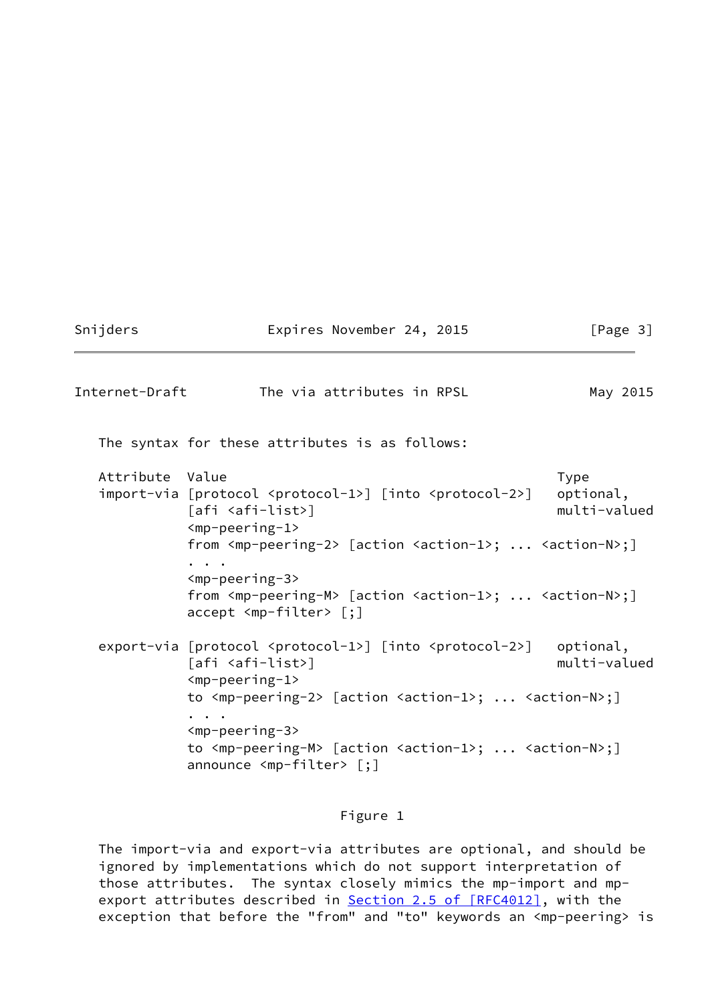# Snijders **Expires November 24, 2015** [Page 3]

<span id="page-3-0"></span>Internet-Draft The via attributes in RPSL May 2015

The syntax for these attributes is as follows:

Attribute Value **Type** import-via [protocol <protocol-1>] [into <protocol-2>] optional, [afi <afi-list>] multi-valued <mp-peering-1> from <mp-peering-2> [action <action-1>; ... <action-N>;] . . . <mp-peering-3> from <mp-peering-M> [action <action-1>; ... <action-N>;] accept <mp-filter> [;] export-via [protocol <protocol-1>] [into <protocol-2>] optional, [afi <afi-list>] multi-valued

 <mp-peering-1> to <mp-peering-2> [action <action-1>; ... <action-N>;] . . . <mp-peering-3> to <mp-peering-M> [action <action-1>; ... <action-N>;] announce <mp-filter> [;]

#### Figure 1

 The import-via and export-via attributes are optional, and should be ignored by implementations which do not support interpretation of those attributes. The syntax closely mimics the mp-import and mp- export attributes described in Section [2.5 of \[RFC4012\],](https://datatracker.ietf.org/doc/pdf/rfc4012#section-2.5) with the exception that before the "from" and "to" keywords an <mp-peering> is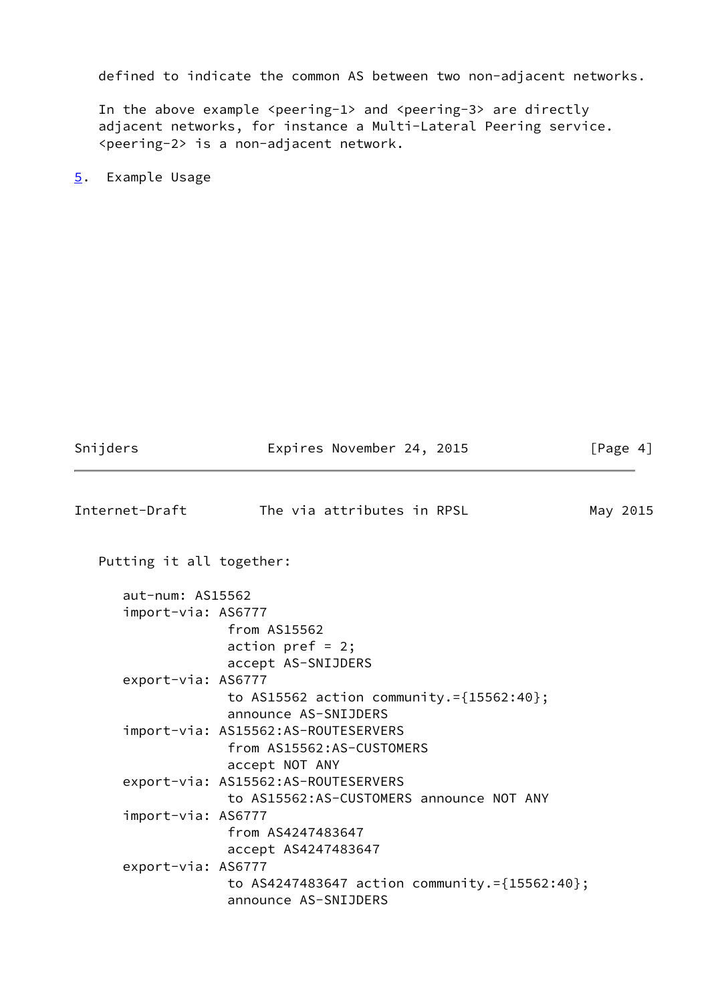defined to indicate the common AS between two non-adjacent networks.

In the above example <peering-1> and <peering-3> are directly adjacent networks, for instance a Multi-Lateral Peering service. <peering-2> is a non-adjacent network.

<span id="page-4-0"></span>[5](#page-4-0). Example Usage

<span id="page-4-1"></span>

| Snijders                 | Expires November 24, 2015                                                          | [Page 4] |
|--------------------------|------------------------------------------------------------------------------------|----------|
| Internet-Draft           | The via attributes in RPSL                                                         | May 2015 |
| Putting it all together: |                                                                                    |          |
| aut-num: AS15562         |                                                                                    |          |
| import-via: AS6777       | from AS15562<br>action $pref = 2;$<br>accept AS-SNIJDERS                           |          |
| export-via: AS6777       | to AS15562 action community. = ${15562:40}$ ;<br>announce AS-SNIJDERS              |          |
|                          | import-via: AS15562:AS-ROUTESERVERS<br>from AS15562:AS-CUSTOMERS<br>accept NOT ANY |          |
|                          | export-via: AS15562:AS-ROUTESERVERS<br>to AS15562:AS-CUSTOMERS announce NOT ANY    |          |
| import-via: AS6777       | from AS4247483647<br>accept AS4247483647                                           |          |
| export-via: AS6777       | to AS4247483647 action community.={15562:40};<br>announce AS-SNIJDERS              |          |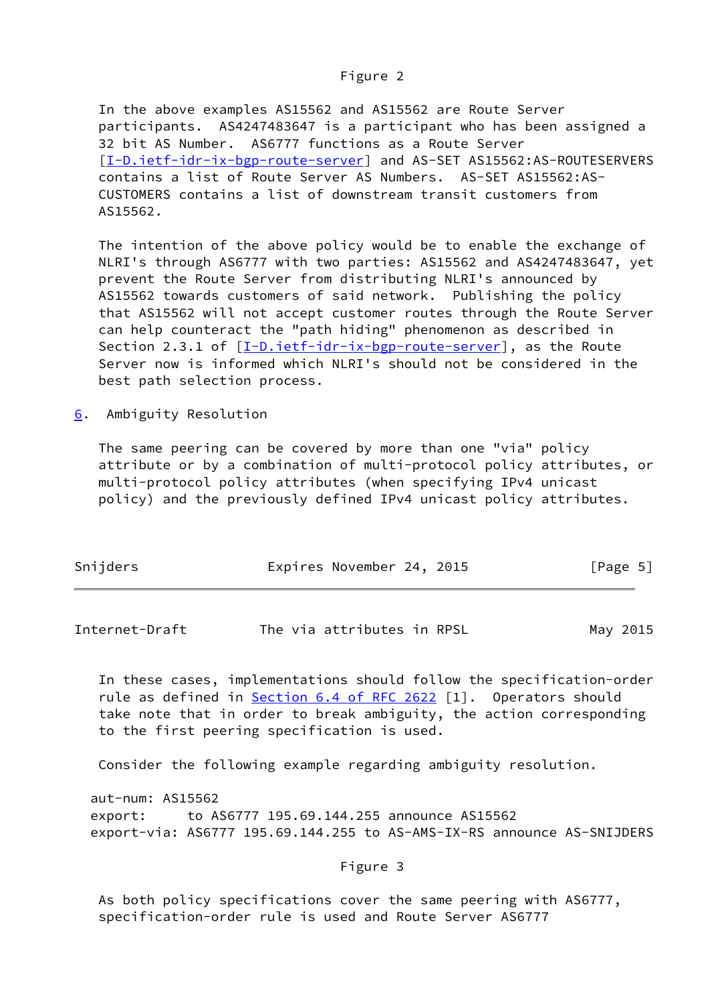#### Figure 2

 In the above examples AS15562 and AS15562 are Route Server participants. AS4247483647 is a participant who has been assigned a 32 bit AS Number. AS6777 functions as a Route Server [\[I-D.ietf-idr-ix-bgp-route-server](#page-7-2)] and AS-SET AS15562:AS-ROUTESERVERS contains a list of Route Server AS Numbers. AS-SET AS15562:AS- CUSTOMERS contains a list of downstream transit customers from AS15562.

 The intention of the above policy would be to enable the exchange of NLRI's through AS6777 with two parties: AS15562 and AS4247483647, yet prevent the Route Server from distributing NLRI's announced by AS15562 towards customers of said network. Publishing the policy that AS15562 will not accept customer routes through the Route Server can help counteract the "path hiding" phenomenon as described in Section 2.3.1 of [\[I-D.ietf-idr-ix-bgp-route-server](#page-7-2)], as the Route Server now is informed which NLRI's should not be considered in the best path selection process.

<span id="page-5-0"></span>[6](#page-5-0). Ambiguity Resolution

 The same peering can be covered by more than one "via" policy attribute or by a combination of multi-protocol policy attributes, or multi-protocol policy attributes (when specifying IPv4 unicast policy) and the previously defined IPv4 unicast policy attributes.

| Snijders | Expires November 24, 2015 |  | [Page 5] |
|----------|---------------------------|--|----------|
|          |                           |  |          |

<span id="page-5-1"></span>Internet-Draft The via attributes in RPSL May 2015

 In these cases, implementations should follow the specification-order rule as defined in Section [6.4 of RFC 2622](https://datatracker.ietf.org/doc/pdf/rfc2622#section-6.4) [1]. Operators should take note that in order to break ambiguity, the action corresponding to the first peering specification is used.

Consider the following example regarding ambiguity resolution.

 aut-num: AS15562 export: to AS6777 195.69.144.255 announce AS15562 export-via: AS6777 195.69.144.255 to AS-AMS-IX-RS announce AS-SNIJDERS

#### Figure 3

 As both policy specifications cover the same peering with AS6777, specification-order rule is used and Route Server AS6777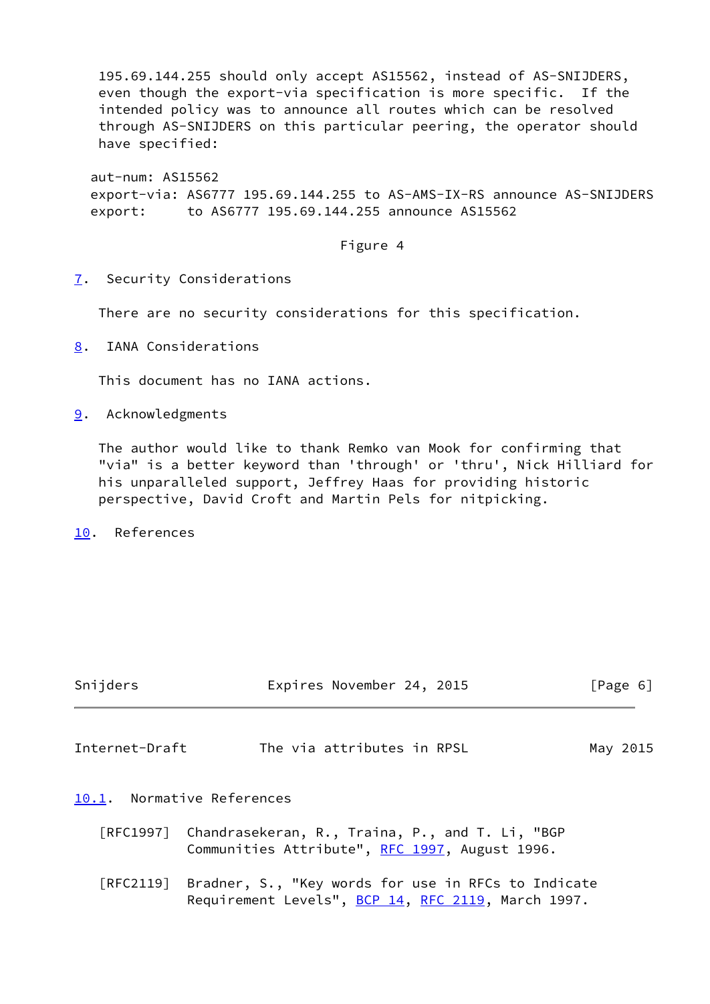195.69.144.255 should only accept AS15562, instead of AS-SNIJDERS, even though the export-via specification is more specific. If the intended policy was to announce all routes which can be resolved through AS-SNIJDERS on this particular peering, the operator should have specified:

 aut-num: AS15562 export-via: AS6777 195.69.144.255 to AS-AMS-IX-RS announce AS-SNIJDERS export: to AS6777 195.69.144.255 announce AS15562

#### Figure 4

<span id="page-6-0"></span>[7](#page-6-0). Security Considerations

There are no security considerations for this specification.

<span id="page-6-1"></span>[8](#page-6-1). IANA Considerations

This document has no IANA actions.

<span id="page-6-2"></span>[9](#page-6-2). Acknowledgments

 The author would like to thank Remko van Mook for confirming that "via" is a better keyword than 'through' or 'thru', Nick Hilliard for his unparalleled support, Jeffrey Haas for providing historic perspective, David Croft and Martin Pels for nitpicking.

<span id="page-6-3"></span>[10.](#page-6-3) References

<span id="page-6-5"></span><span id="page-6-4"></span>

| Snijders       | Expires November 24, 2015                                                                                   | [Page 6] |
|----------------|-------------------------------------------------------------------------------------------------------------|----------|
| Internet-Draft | The via attributes in RPSL                                                                                  | May 2015 |
|                | 10.1. Normative References                                                                                  |          |
|                | [RFC1997] Chandrasekeran, R., Traina, P., and T. Li, "BGP<br>Communities Attribute", RFC 1997, August 1996. |          |
|                | [RFC2119] Bradner, S., "Key words for use in RFCs to Indicate                                               |          |

Requirement Levels", [BCP 14](https://datatracker.ietf.org/doc/pdf/bcp14), [RFC 2119](https://datatracker.ietf.org/doc/pdf/rfc2119), March 1997.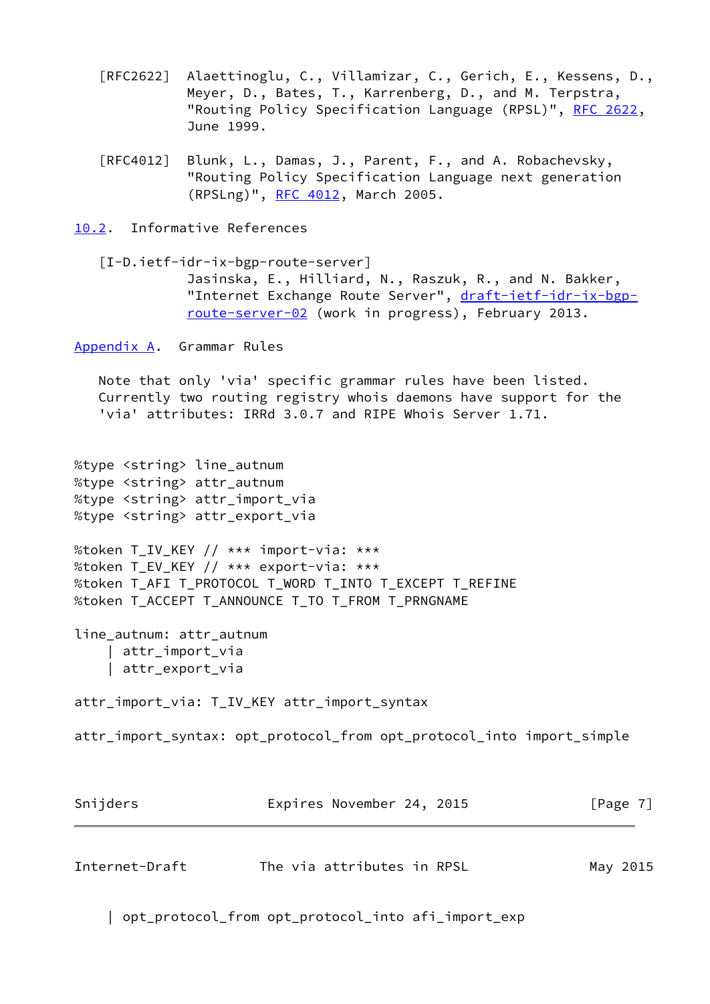- [RFC2622] Alaettinoglu, C., Villamizar, C., Gerich, E., Kessens, D., Meyer, D., Bates, T., Karrenberg, D., and M. Terpstra, "Routing Policy Specification Language (RPSL)", [RFC 2622,](https://datatracker.ietf.org/doc/pdf/rfc2622) June 1999.
- [RFC4012] Blunk, L., Damas, J., Parent, F., and A. Robachevsky, "Routing Policy Specification Language next generation (RPSLng)", [RFC 4012](https://datatracker.ietf.org/doc/pdf/rfc4012), March 2005.
- <span id="page-7-0"></span>[10.2](#page-7-0). Informative References

<span id="page-7-2"></span> [I-D.ietf-idr-ix-bgp-route-server] Jasinska, E., Hilliard, N., Raszuk, R., and N. Bakker, "Internet Exchange Route Server", [draft-ietf-idr-ix-bgp](https://datatracker.ietf.org/doc/pdf/draft-ietf-idr-ix-bgp-route-server-02) [route-server-02](https://datatracker.ietf.org/doc/pdf/draft-ietf-idr-ix-bgp-route-server-02) (work in progress), February 2013.

<span id="page-7-1"></span>[Appendix A.](#page-7-1) Grammar Rules

 Note that only 'via' specific grammar rules have been listed. Currently two routing registry whois daemons have support for the 'via' attributes: IRRd 3.0.7 and RIPE Whois Server 1.71.

%type <string> line\_autnum %type <string> attr\_autnum %type <string> attr\_import\_via %type <string> attr\_export\_via

%token T\_IV\_KEY // \*\*\* import-via: \*\*\* %token T\_EV\_KEY // \*\*\* export-via: \*\*\* %token T\_AFI T\_PROTOCOL T\_WORD T\_INTO T\_EXCEPT T\_REFINE %token T\_ACCEPT T\_ANNOUNCE T\_TO T\_FROM T\_PRNGNAME

line\_autnum: attr\_autnum | attr\_import\_via | attr\_export\_via

attr\_import\_via: T\_IV\_KEY attr\_import\_syntax

attr\_import\_syntax: opt\_protocol\_from opt\_protocol\_into import\_simple

| Snijders       | Expires November 24, 2015  | [Page 7] |
|----------------|----------------------------|----------|
| Internet-Draft | The via attributes in RPSL | May 2015 |

| opt\_protocol\_from opt\_protocol\_into afi\_import\_exp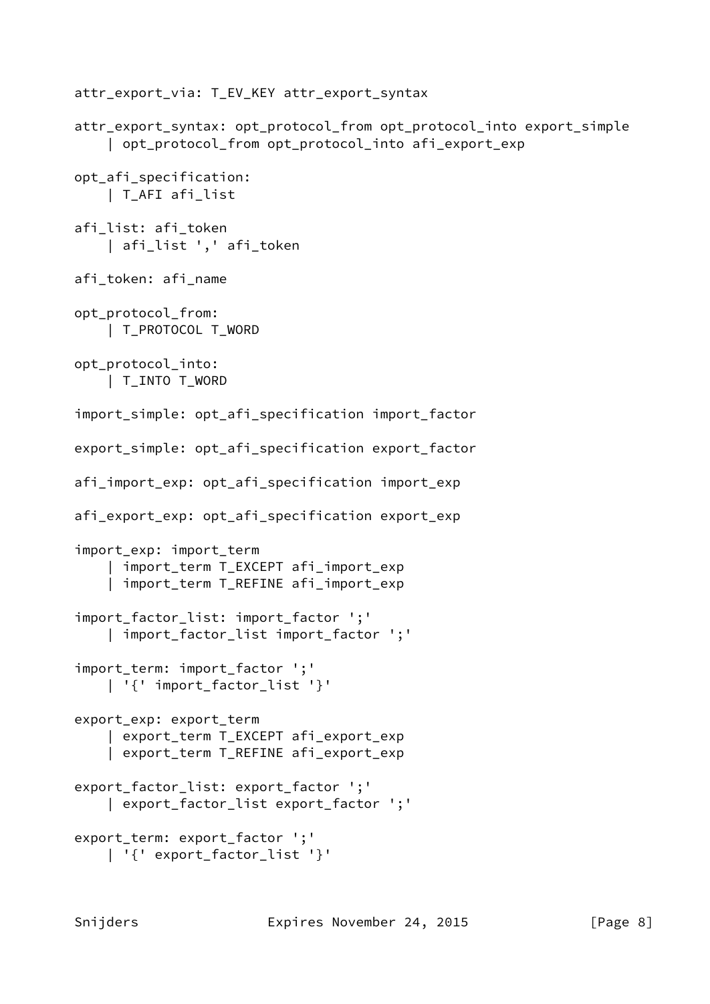```
attr_export_via: T_EV_KEY attr_export_syntax
attr_export_syntax: opt_protocol_from opt_protocol_into export_simple
     | opt_protocol_from opt_protocol_into afi_export_exp
opt_afi_specification:
     | T_AFI afi_list
afi_list: afi_token
     | afi_list ',' afi_token
afi_token: afi_name
opt_protocol_from:
     | T_PROTOCOL T_WORD
opt_protocol_into:
     | T_INTO T_WORD
import_simple: opt_afi_specification import_factor
export_simple: opt_afi_specification export_factor
afi_import_exp: opt_afi_specification import_exp
afi_export_exp: opt_afi_specification export_exp
import_exp: import_term
     | import_term T_EXCEPT afi_import_exp
     | import_term T_REFINE afi_import_exp
import_factor_list: import_factor ';'
     | import_factor_list import_factor ';'
import_term: import_factor ';'
     | '{' import_factor_list '}'
export_exp: export_term
     | export_term T_EXCEPT afi_export_exp
     | export_term T_REFINE afi_export_exp
export_factor_list: export_factor ';'
     | export_factor_list export_factor ';'
export_term: export_factor ';'
     | '{' export_factor_list '}'
```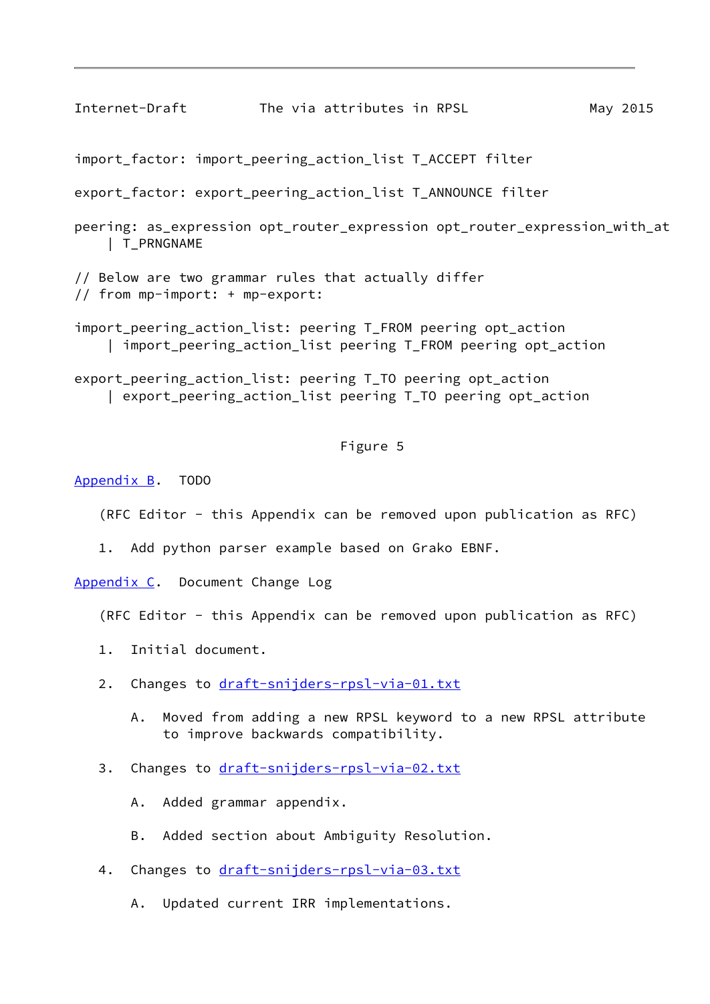<span id="page-9-1"></span>import\_factor: import\_peering\_action\_list T\_ACCEPT filter

export factor: export peering action list T\_ANNOUNCE filter

peering: as\_expression opt\_router\_expression opt\_router\_expression\_with\_at | T\_PRNGNAME

// Below are two grammar rules that actually differ // from mp-import: + mp-export:

import\_peering\_action\_list: peering T\_FROM peering opt\_action | import\_peering\_action\_list peering T\_FROM peering opt\_action

export\_peering\_action\_list: peering T\_TO peering opt\_action | export\_peering\_action\_list peering T\_TO peering opt\_action

## Figure 5

<span id="page-9-0"></span>[Appendix B.](#page-9-0) TODO

(RFC Editor - this Appendix can be removed upon publication as RFC)

1. Add python parser example based on Grako EBNF.

<span id="page-9-2"></span>[Appendix C.](#page-9-2) Document Change Log

(RFC Editor - this Appendix can be removed upon publication as RFC)

- 1. Initial document.
- 2. Changes to [draft-snijders-rpsl-via-01.txt](https://datatracker.ietf.org/doc/pdf/draft-snijders-rpsl-via-01.txt)
	- A. Moved from adding a new RPSL keyword to a new RPSL attribute to improve backwards compatibility.
- 3. Changes to [draft-snijders-rpsl-via-02.txt](https://datatracker.ietf.org/doc/pdf/draft-snijders-rpsl-via-02.txt)
	- A. Added grammar appendix.
	- B. Added section about Ambiguity Resolution.
- 4. Changes to [draft-snijders-rpsl-via-03.txt](https://datatracker.ietf.org/doc/pdf/draft-snijders-rpsl-via-03.txt)
	- A. Updated current IRR implementations.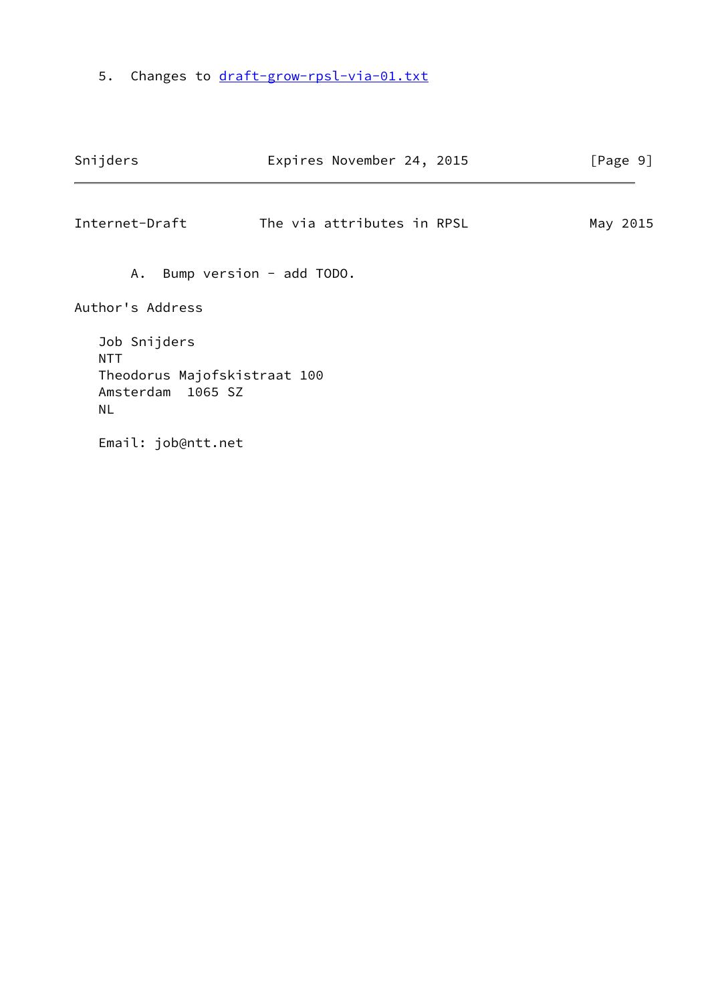5. Changes to [draft-grow-rpsl-via-01.txt](https://datatracker.ietf.org/doc/pdf/draft-grow-rpsl-via-01.txt)

<span id="page-10-0"></span>

| Snijders                                                                                                    | Expires November 24, 2015  | [Page 9] |
|-------------------------------------------------------------------------------------------------------------|----------------------------|----------|
| Internet-Draft                                                                                              | The via attributes in RPSL | May 2015 |
| Α.                                                                                                          | Bump version - add TODO.   |          |
| Author's Address                                                                                            |                            |          |
| Job Snijders<br><b>NTT</b><br>Theodorus Majofskistraat 100<br>Amsterdam 1065 SZ<br>NL<br>Email: job@ntt.net |                            |          |